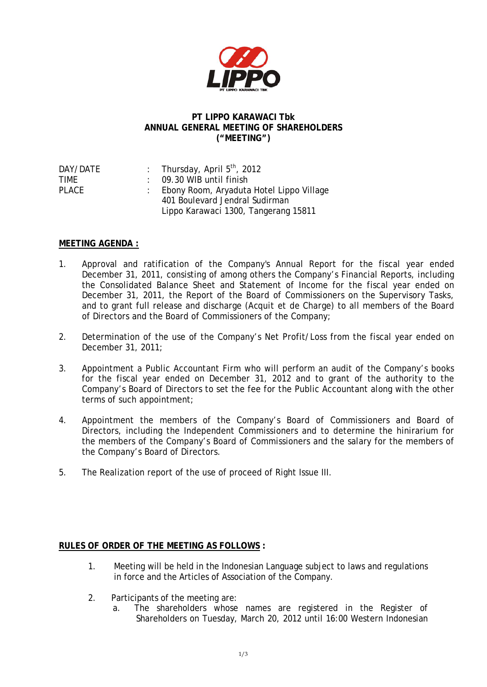

## **PT LIPPO KARAWACI Tbk ANNUAL GENERAL MEETING OF SHAREHOLDERS ("MEETING")**

| : Thursday, April $5th$ , 2012             |
|--------------------------------------------|
| $\therefore$ 09.30 WIB until finish        |
| : Ebony Room, Aryaduta Hotel Lippo Village |
| 401 Boulevard Jendral Sudirman             |
| Lippo Karawaci 1300, Tangerang 15811       |
|                                            |

## **MEETING AGENDA :**

- 1. Approval and ratification of the Company's Annual Report for the fiscal year ended December 31, 2011, consisting of among others the Company's Financial Reports, including the Consolidated Balance Sheet and Statement of Income for the fiscal year ended on December 31, 2011, the Report of the Board of Commissioners on the Supervisory Tasks, and to grant full release and discharge (*Acquit et de Charge*) to all members of the Board of Directors and the Board of Commissioners of the Company;
- 2. Determination of the use of the Company's Net Profit/Loss from the fiscal year ended on December 31, 2011;
- 3. Appointment a Public Accountant Firm who will perform an audit of the Company's books for the fiscal year ended on December 31, 2012 and to grant of the authority to the Company's Board of Directors to set the fee for the Public Accountant along with the other terms of such appointment;
- 4. Appointment the members of the Company's Board of Commissioners and Board of Directors, including the Independent Commissioners and to determine the hinirarium for the members of the Company's Board of Commissioners and the salary for the members of the Company's Board of Directors.
- 5. The Realization report of the use of proceed of Right Issue III.

## **RULES OF ORDER OF THE MEETING AS FOLLOWS :**

- 1. Meeting will be held in the Indonesian Language subject to laws and regulations in force and the Articles of Association of the Company.
- 2. Participants of the meeting are:
	- a. The shareholders whose names are registered in the Register of Shareholders on Tuesday, March 20, 2012 until 16:00 Western Indonesian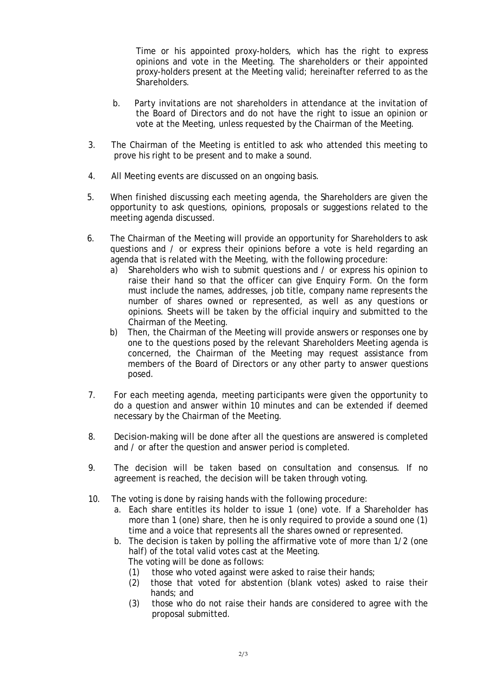Time or his appointed proxy-holders, which has the right to express opinions and vote in the Meeting. The shareholders or their appointed proxy-holders present at the Meeting valid; hereinafter referred to as the Shareholders.

- b. Party invitations are not shareholders in attendance at the invitation of the Board of Directors and do not have the right to issue an opinion or vote at the Meeting, unless requested by the Chairman of the Meeting.
- 3. The Chairman of the Meeting is entitled to ask who attended this meeting to prove his right to be present and to make a sound.
- 4. All Meeting events are discussed on an ongoing basis.
- 5. When finished discussing each meeting agenda, the Shareholders are given the opportunity to ask questions, opinions, proposals or suggestions related to the meeting agenda discussed.
- 6. The Chairman of the Meeting will provide an opportunity for Shareholders to ask questions and / or express their opinions before a vote is held regarding an agenda that is related with the Meeting, with the following procedure:
	- a) Shareholders who wish to submit questions and / or express his opinion to raise their hand so that the officer can give Enquiry Form. On the form must include the names, addresses, job title, company name represents the number of shares owned or represented, as well as any questions or opinions. Sheets will be taken by the official inquiry and submitted to the Chairman of the Meeting.
	- b) Then, the Chairman of the Meeting will provide answers or responses one by one to the questions posed by the relevant Shareholders Meeting agenda is concerned, the Chairman of the Meeting may request assistance from members of the Board of Directors or any other party to answer questions posed.
- 7. For each meeting agenda, meeting participants were given the opportunity to do a question and answer within 10 minutes and can be extended if deemed necessary by the Chairman of the Meeting.
- 8. Decision-making will be done after all the questions are answered is completed and / or after the question and answer period is completed.
- 9. The decision will be taken based on consultation and consensus. If no agreement is reached, the decision will be taken through voting.
- 10. The voting is done by raising hands with the following procedure:
	- a. Each share entitles its holder to issue 1 (one) vote. If a Shareholder has more than 1 (one) share, then he is only required to provide a sound one (1) time and a voice that represents all the shares owned or represented.
	- b. The decision is taken by polling the affirmative vote of more than 1/2 (one half) of the total valid votes cast at the Meeting. The voting will be done as follows:
		- (1) those who voted against were asked to raise their hands;
		- (2) those that voted for abstention (blank votes) asked to raise their hands; and
		- (3) those who do not raise their hands are considered to agree with the proposal submitted.